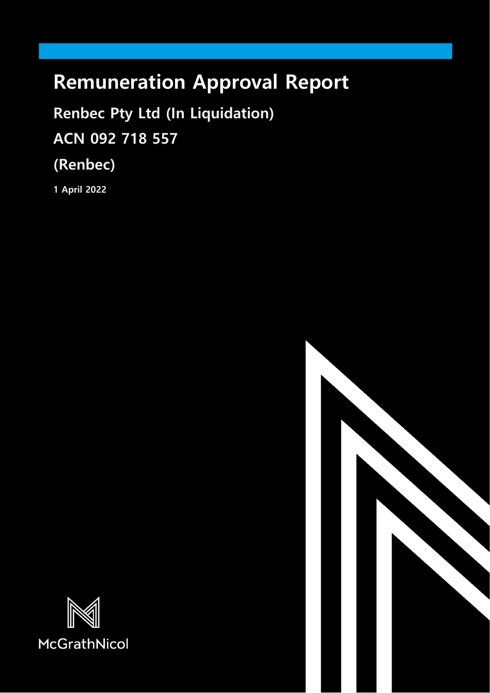# **Remuneration Approval Report**

**Renbec Pty Ltd (In Liquidation) ACN 092 718 557**

**(Renbec)**

**1 April 2022**



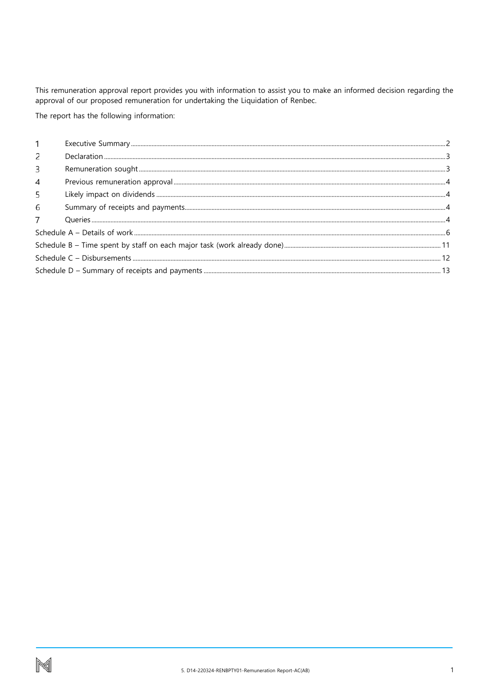This remuneration approval report provides you with information to assist you to make an informed decision regarding the approval of our proposed remuneration for undertaking the Liquidation of Renbec.

The report has the following information:

| 2 |  |
|---|--|
| 3 |  |
| 4 |  |
| 5 |  |
| 6 |  |
|   |  |
|   |  |
|   |  |
|   |  |
|   |  |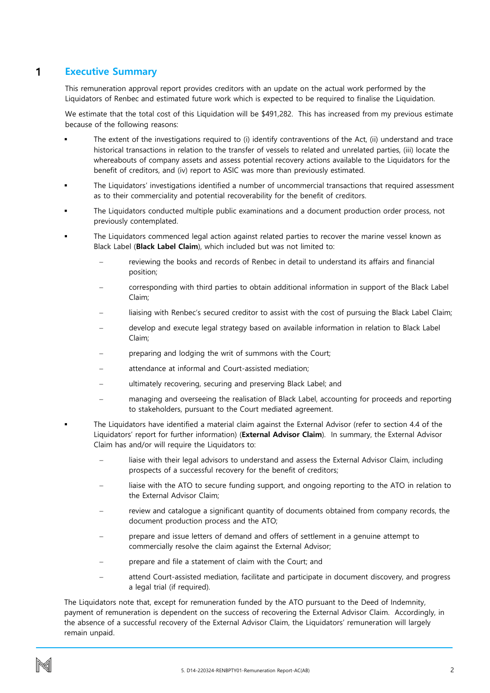#### <span id="page-2-0"></span>**Executive Summary** 1

This remuneration approval report provides creditors with an update on the actual work performed by the Liquidators of Renbec and estimated future work which is expected to be required to finalise the Liquidation.

We estimate that the total cost of this Liquidation will be \$491,282. This has increased from my previous estimate because of the following reasons:

- The extent of the investigations required to (i) identify contraventions of the Act, (ii) understand and trace historical transactions in relation to the transfer of vessels to related and unrelated parties, (iii) locate the whereabouts of company assets and assess potential recovery actions available to the Liquidators for the benefit of creditors, and (iv) report to ASIC was more than previously estimated.
- The Liquidators' investigations identified a number of uncommercial transactions that required assessment as to their commerciality and potential recoverability for the benefit of creditors.
- The Liquidators conducted multiple public examinations and a document production order process, not previously contemplated.
- The Liquidators commenced legal action against related parties to recover the marine vessel known as Black Label (**Black Label Claim**), which included but was not limited to:
	- reviewing the books and records of Renbec in detail to understand its affairs and financial position;
	- − corresponding with third parties to obtain additional information in support of the Black Label Claim;
	- liaising with Renbec's secured creditor to assist with the cost of pursuing the Black Label Claim;
	- − develop and execute legal strategy based on available information in relation to Black Label Claim;
	- preparing and lodging the writ of summons with the Court;
	- attendance at informal and Court-assisted mediation;
	- − ultimately recovering, securing and preserving Black Label; and
	- managing and overseeing the realisation of Black Label, accounting for proceeds and reporting to stakeholders, pursuant to the Court mediated agreement.
- The Liquidators have identified a material claim against the External Advisor (refer to section 4.4 of the Liquidators' report for further information) (**External Advisor Claim**). In summary, the External Advisor Claim has and/or will require the Liquidators to:
	- liaise with their legal advisors to understand and assess the External Advisor Claim, including prospects of a successful recovery for the benefit of creditors;
	- liaise with the ATO to secure funding support, and ongoing reporting to the ATO in relation to the External Advisor Claim;
	- review and catalogue a significant quantity of documents obtained from company records, the document production process and the ATO;
	- prepare and issue letters of demand and offers of settlement in a genuine attempt to commercially resolve the claim against the External Advisor;
	- prepare and file a statement of claim with the Court; and
	- attend Court-assisted mediation, facilitate and participate in document discovery, and progress a legal trial (if required).

The Liquidators note that, except for remuneration funded by the ATO pursuant to the Deed of Indemnity, payment of remuneration is dependent on the success of recovering the External Advisor Claim. Accordingly, in the absence of a successful recovery of the External Advisor Claim, the Liquidators' remuneration will largely remain unpaid.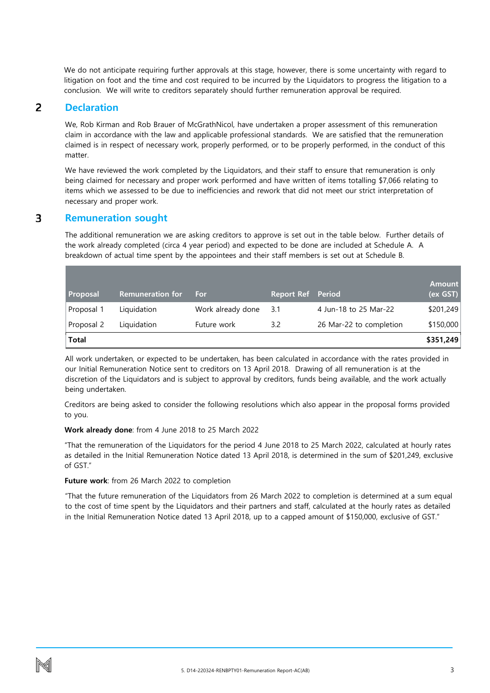We do not anticipate requiring further approvals at this stage, however, there is some uncertainty with regard to litigation on foot and the time and cost required to be incurred by the Liquidators to progress the litigation to a conclusion. We will write to creditors separately should further remuneration approval be required.

#### <span id="page-3-0"></span>**Declaration** 2

We, Rob Kirman and Rob Brauer of McGrathNicol, have undertaken a proper assessment of this remuneration claim in accordance with the law and applicable professional standards. We are satisfied that the remuneration claimed is in respect of necessary work, properly performed, or to be properly performed, in the conduct of this matter.

We have reviewed the work completed by the Liquidators, and their staff to ensure that remuneration is only being claimed for necessary and proper work performed and have written of items totalling \$7,066 relating to items which we assessed to be due to inefficiencies and rework that did not meet our strict interpretation of necessary and proper work.

#### <span id="page-3-1"></span>3 **Remuneration sought**

The additional remuneration we are asking creditors to approve is set out in the table below. Further details of the work already completed (circa 4 year period) and expected to be done are included at Schedule A. A breakdown of actual time spent by the appointees and their staff members is set out at Schedule B.

| Proposal     | <b>Remuneration for</b> | For               | <b>Report Ref</b> Period |                         | <b>Amount</b><br>(ex GST) |
|--------------|-------------------------|-------------------|--------------------------|-------------------------|---------------------------|
| Proposal 1   | Liquidation             | Work already done | 3.1                      | 4 Jun-18 to 25 Mar-22   | \$201,249                 |
| Proposal 2   | Liquidation             | Future work       | 3.2                      | 26 Mar-22 to completion | \$150,000                 |
| <b>Total</b> |                         |                   |                          |                         | \$351,249                 |

All work undertaken, or expected to be undertaken, has been calculated in accordance with the rates provided in our Initial Remuneration Notice sent to creditors on 13 April 2018. Drawing of all remuneration is at the discretion of the Liquidators and is subject to approval by creditors, funds being available, and the work actually being undertaken.

Creditors are being asked to consider the following resolutions which also appear in the proposal forms provided to you.

### **Work already done**: from 4 June 2018 to 25 March 2022

"That the remuneration of the Liquidators for the period 4 June 2018 to 25 March 2022, calculated at hourly rates as detailed in the Initial Remuneration Notice dated 13 April 2018, is determined in the sum of \$201,249, exclusive of GST."

### **Future work**: from 26 March 2022 to completion

"That the future remuneration of the Liquidators from 26 March 2022 to completion is determined at a sum equal to the cost of time spent by the Liquidators and their partners and staff, calculated at the hourly rates as detailed in the Initial Remuneration Notice dated 13 April 2018, up to a capped amount of \$150,000, exclusive of GST."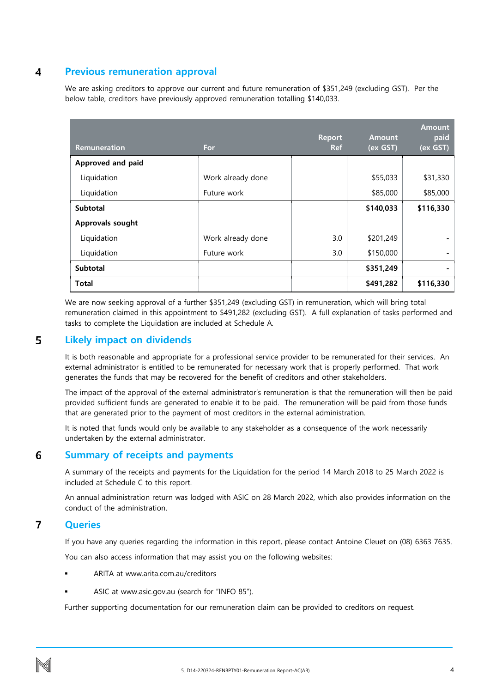#### <span id="page-4-0"></span>4 **Previous remuneration approval**

We are asking creditors to approve our current and future remuneration of \$351,249 (excluding GST). Per the below table, creditors have previously approved remuneration totalling \$140,033.

| Remuneration      | For               | <b>Report</b><br><b>Ref</b> | <b>Amount</b><br>(ex GST) | <b>Amount</b><br>paid<br>(ex GST) |
|-------------------|-------------------|-----------------------------|---------------------------|-----------------------------------|
| Approved and paid |                   |                             |                           |                                   |
| Liquidation       | Work already done |                             | \$55,033                  | \$31,330                          |
| Liquidation       | Future work       |                             | \$85,000                  | \$85,000                          |
| <b>Subtotal</b>   |                   |                             | \$140,033                 | \$116,330                         |
| Approvals sought  |                   |                             |                           |                                   |
| Liquidation       | Work already done | 3.0                         | \$201,249                 |                                   |
| Liquidation       | Future work       | 3.0                         | \$150,000                 |                                   |
| Subtotal          |                   |                             | \$351,249                 | $\qquad \qquad \blacksquare$      |
| <b>Total</b>      |                   |                             | \$491,282                 | \$116,330                         |

We are now seeking approval of a further \$351,249 (excluding GST) in remuneration, which will bring total remuneration claimed in this appointment to \$491,282 (excluding GST). A full explanation of tasks performed and tasks to complete the Liquidation are included at Schedule A.

#### <span id="page-4-1"></span>5 **Likely impact on dividends**

It is both reasonable and appropriate for a professional service provider to be remunerated for their services. An external administrator is entitled to be remunerated for necessary work that is properly performed. That work generates the funds that may be recovered for the benefit of creditors and other stakeholders.

The impact of the approval of the external administrator's remuneration is that the remuneration will then be paid provided sufficient funds are generated to enable it to be paid. The remuneration will be paid from those funds that are generated prior to the payment of most creditors in the external administration.

It is noted that funds would only be available to any stakeholder as a consequence of the work necessarily undertaken by the external administrator.

#### <span id="page-4-2"></span>6 **Summary of receipts and payments**

A summary of the receipts and payments for the Liquidation for the period 14 March 2018 to 25 March 2022 is included at Schedule C to this report.

An annual administration return was lodged with ASIC on 28 March 2022, which also provides information on the conduct of the administration.

#### <span id="page-4-3"></span> $\overline{7}$ **Queries**

If you have any queries regarding the information in this report, please contact Antoine Cleuet on (08) 6363 7635.

You can also access information that may assist you on the following websites:

- ARITA at www.arita.com.au/creditors
- ASIC at www.asic.gov.au (search for "INFO 85").

Further supporting documentation for our remuneration claim can be provided to creditors on request.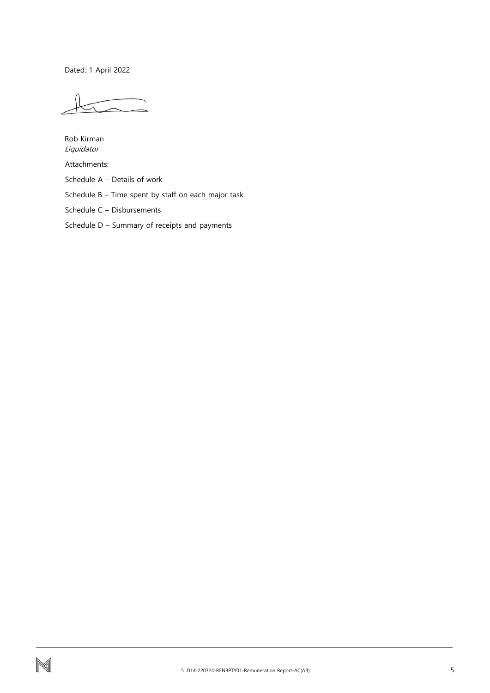Dated: 1 April 2022

Rob Kirman Liquidator

Attachments:

Schedule A – Details of work

Schedule B – Time spent by staff on each major task

Schedule C – Disbursements

Schedule D – Summary of receipts and payments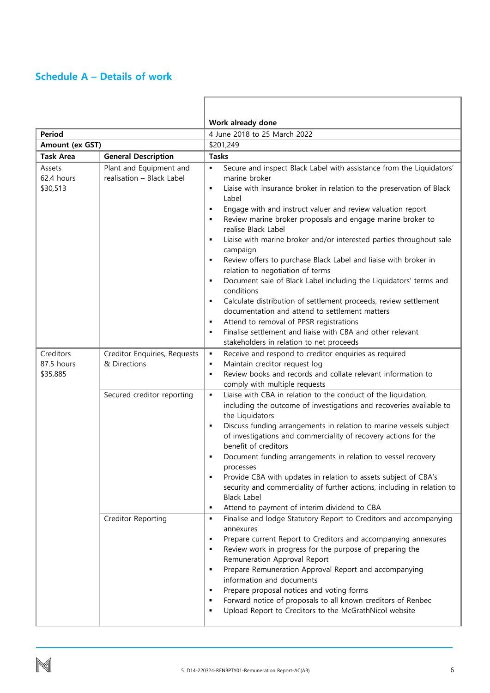# <span id="page-6-0"></span>**Schedule A – Details of work**

|                                     |                                                      | Work already done                                                                                                                                                                                                                                                                                                                                                                                                                                                                                                                                                                                                                                                                                                                                                                                                                                                                                                                                                          |  |  |  |  |
|-------------------------------------|------------------------------------------------------|----------------------------------------------------------------------------------------------------------------------------------------------------------------------------------------------------------------------------------------------------------------------------------------------------------------------------------------------------------------------------------------------------------------------------------------------------------------------------------------------------------------------------------------------------------------------------------------------------------------------------------------------------------------------------------------------------------------------------------------------------------------------------------------------------------------------------------------------------------------------------------------------------------------------------------------------------------------------------|--|--|--|--|
| <b>Period</b>                       |                                                      | 4 June 2018 to 25 March 2022                                                                                                                                                                                                                                                                                                                                                                                                                                                                                                                                                                                                                                                                                                                                                                                                                                                                                                                                               |  |  |  |  |
| Amount (ex GST)                     |                                                      | \$201,249                                                                                                                                                                                                                                                                                                                                                                                                                                                                                                                                                                                                                                                                                                                                                                                                                                                                                                                                                                  |  |  |  |  |
| <b>Task Area</b>                    | <b>General Description</b>                           | <b>Tasks</b>                                                                                                                                                                                                                                                                                                                                                                                                                                                                                                                                                                                                                                                                                                                                                                                                                                                                                                                                                               |  |  |  |  |
| Assets<br>62.4 hours<br>\$30,513    | Plant and Equipment and<br>realisation - Black Label | Secure and inspect Black Label with assistance from the Liquidators'<br>$\blacksquare$<br>marine broker<br>Liaise with insurance broker in relation to the preservation of Black<br>٠<br>Label<br>Engage with and instruct valuer and review valuation report<br>$\blacksquare$<br>Review marine broker proposals and engage marine broker to<br>$\blacksquare$<br>realise Black Label<br>Liaise with marine broker and/or interested parties throughout sale<br>campaign<br>Review offers to purchase Black Label and liaise with broker in<br>relation to negotiation of terms<br>Document sale of Black Label including the Liquidators' terms and<br>conditions<br>Calculate distribution of settlement proceeds, review settlement<br>٠<br>documentation and attend to settlement matters<br>Attend to removal of PPSR registrations<br>п<br>Finalise settlement and liaise with CBA and other relevant<br>$\blacksquare$<br>stakeholders in relation to net proceeds |  |  |  |  |
| Creditors<br>87.5 hours<br>\$35,885 | Creditor Enquiries, Requests<br>& Directions         | Receive and respond to creditor enquiries as required<br>$\blacksquare$<br>Maintain creditor request log<br>$\blacksquare$<br>Review books and records and collate relevant information to<br>$\blacksquare$<br>comply with multiple requests                                                                                                                                                                                                                                                                                                                                                                                                                                                                                                                                                                                                                                                                                                                              |  |  |  |  |
|                                     | Secured creditor reporting                           | Liaise with CBA in relation to the conduct of the liquidation,<br>٠<br>including the outcome of investigations and recoveries available to<br>the Liquidators<br>Discuss funding arrangements in relation to marine vessels subject<br>п<br>of investigations and commerciality of recovery actions for the<br>benefit of creditors<br>Document funding arrangements in relation to vessel recovery<br>processes<br>Provide CBA with updates in relation to assets subject of CBA's<br>٠<br>security and commerciality of further actions, including in relation to<br><b>Black Label</b><br>Attend to payment of interim dividend to CBA<br>п                                                                                                                                                                                                                                                                                                                             |  |  |  |  |
|                                     | Creditor Reporting                                   | Finalise and lodge Statutory Report to Creditors and accompanying<br>п<br>annexures<br>Prepare current Report to Creditors and accompanying annexures<br>п<br>Review work in progress for the purpose of preparing the<br>л<br>Remuneration Approval Report<br>Prepare Remuneration Approval Report and accompanying<br>٠<br>information and documents<br>Prepare proposal notices and voting forms<br>Forward notice of proposals to all known creditors of Renbec<br>$\blacksquare$<br>Upload Report to Creditors to the McGrathNicol website<br>п                                                                                                                                                                                                                                                                                                                                                                                                                       |  |  |  |  |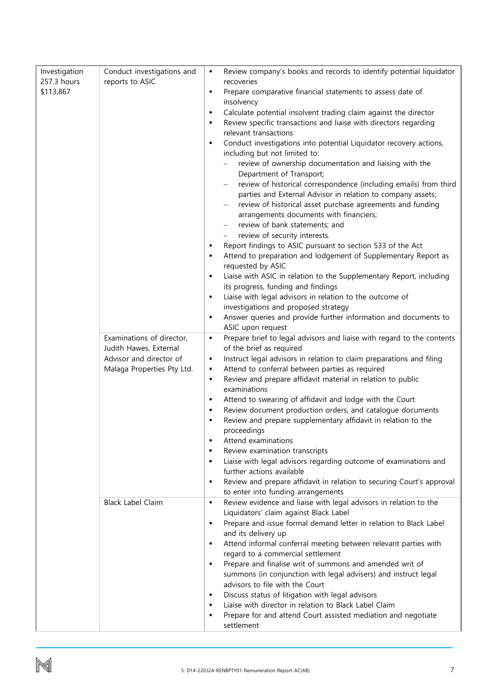| Investigation | Conduct investigations and | ٠              | Review company's books and records to identify potential liquidator    |
|---------------|----------------------------|----------------|------------------------------------------------------------------------|
| 257.3 hours   | reports to ASIC            |                | recoveries                                                             |
| \$113,867     |                            | ٠              | Prepare comparative financial statements to assess date of             |
|               |                            |                | insolvency                                                             |
|               |                            | ٠              | Calculate potential insolvent trading claim against the director       |
|               |                            | ٠              | Review specific transactions and liaise with directors regarding       |
|               |                            |                | relevant transactions                                                  |
|               |                            | ٠              |                                                                        |
|               |                            |                | Conduct investigations into potential Liquidator recovery actions,     |
|               |                            |                | including but not limited to:                                          |
|               |                            |                | review of ownership documentation and liaising with the                |
|               |                            |                | Department of Transport;                                               |
|               |                            |                | review of historical correspondence (including emails) from third      |
|               |                            |                | parties and External Advisor in relation to company assets;            |
|               |                            |                | review of historical asset purchase agreements and funding             |
|               |                            |                | arrangements documents with financiers;                                |
|               |                            |                | review of bank statements; and                                         |
|               |                            |                | review of security interests.                                          |
|               |                            |                |                                                                        |
|               |                            |                | Report findings to ASIC pursuant to section 533 of the Act             |
|               |                            |                | Attend to preparation and lodgement of Supplementary Report as         |
|               |                            |                | requested by ASIC                                                      |
|               |                            |                | Liaise with ASIC in relation to the Supplementary Report, including    |
|               |                            |                | its progress, funding and findings                                     |
|               |                            | ٠              | Liaise with legal advisors in relation to the outcome of               |
|               |                            |                | investigations and proposed strategy                                   |
|               |                            | ٠              | Answer queries and provide further information and documents to        |
|               |                            |                | ASIC upon request                                                      |
|               | Examinations of director,  | ٠              | Prepare brief to legal advisors and liaise with regard to the contents |
|               | Judith Hawes, External     |                | of the brief as required                                               |
|               |                            |                |                                                                        |
|               | Advisor and director of    | ٠              | Instruct legal advisors in relation to claim preparations and filing   |
|               | Malaga Properties Pty Ltd. | ٠              | Attend to conferral between parties as required                        |
|               |                            | ٠              | Review and prepare affidavit material in relation to public            |
|               |                            |                | examinations                                                           |
|               |                            | ٠              | Attend to swearing of affidavit and lodge with the Court               |
|               |                            | ٠              | Review document production orders, and catalogue documents             |
|               |                            | ٠              | Review and prepare supplementary affidavit in relation to the          |
|               |                            |                | proceedings                                                            |
|               |                            | $\blacksquare$ | Attend examinations                                                    |
|               |                            | ٠              | Review examination transcripts                                         |
|               |                            | ٠              | Liaise with legal advisors regarding outcome of examinations and       |
|               |                            |                | further actions available                                              |
|               |                            | ٠              | Review and prepare affidavit in relation to securing Court's approval  |
|               |                            |                | to enter into funding arrangements                                     |
|               |                            |                |                                                                        |
|               | <b>Black Label Claim</b>   | ٠              | Review evidence and liaise with legal advisors in relation to the      |
|               |                            |                | Liquidators' claim against Black Label                                 |
|               |                            | ٠              | Prepare and issue formal demand letter in relation to Black Label      |
|               |                            |                | and its delivery up                                                    |
|               |                            | ٠              | Attend informal conferral meeting between relevant parties with        |
|               |                            |                | regard to a commercial settlement                                      |
|               |                            | ٠              | Prepare and finalise writ of summons and amended writ of               |
|               |                            |                | summons (in conjunction with legal advisers) and instruct legal        |
|               |                            |                | advisors to file with the Court                                        |
|               |                            | ٠              | Discuss status of litigation with legal advisors                       |
|               |                            | ٠              | Liaise with director in relation to Black Label Claim                  |
|               |                            | ٠              | Prepare for and attend Court assisted mediation and negotiate          |
|               |                            |                | settlement                                                             |
|               |                            |                |                                                                        |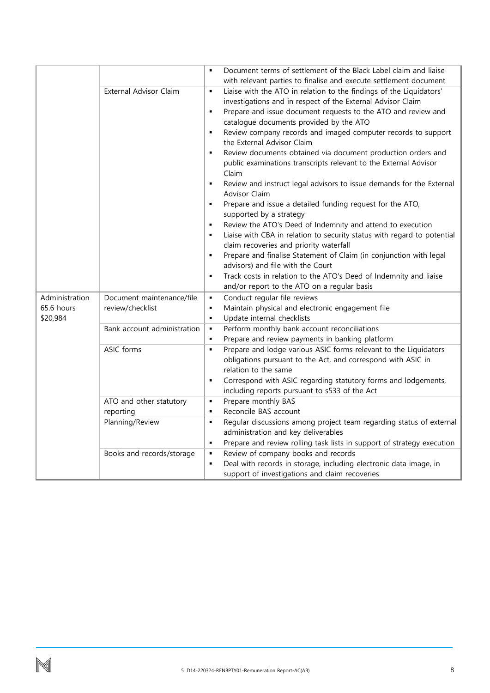|                                          |                                               | Document terms of settlement of the Black Label claim and liaise<br>$\blacksquare$                                                                                                                                                                                                                                                                                                                                                                                                                                                                                                                                                                                                                                                                                                                                                                                                                                                                                                                                                                                                                                                                            |
|------------------------------------------|-----------------------------------------------|---------------------------------------------------------------------------------------------------------------------------------------------------------------------------------------------------------------------------------------------------------------------------------------------------------------------------------------------------------------------------------------------------------------------------------------------------------------------------------------------------------------------------------------------------------------------------------------------------------------------------------------------------------------------------------------------------------------------------------------------------------------------------------------------------------------------------------------------------------------------------------------------------------------------------------------------------------------------------------------------------------------------------------------------------------------------------------------------------------------------------------------------------------------|
|                                          | External Advisor Claim                        | with relevant parties to finalise and execute settlement document<br>Liaise with the ATO in relation to the findings of the Liquidators'<br>$\blacksquare$<br>investigations and in respect of the External Advisor Claim<br>Prepare and issue document requests to the ATO and review and<br>$\blacksquare$<br>catalogue documents provided by the ATO<br>Review company records and imaged computer records to support<br>٠<br>the External Advisor Claim<br>Review documents obtained via document production orders and<br>٠<br>public examinations transcripts relevant to the External Advisor<br>Claim<br>Review and instruct legal advisors to issue demands for the External<br>$\blacksquare$<br>Advisor Claim<br>Prepare and issue a detailed funding request for the ATO,<br>$\blacksquare$<br>supported by a strategy<br>Review the ATO's Deed of Indemnity and attend to execution<br>$\blacksquare$<br>Liaise with CBA in relation to security status with regard to potential<br>п<br>claim recoveries and priority waterfall<br>Prepare and finalise Statement of Claim (in conjunction with legal<br>٠<br>advisors) and file with the Court |
|                                          |                                               | Track costs in relation to the ATO's Deed of Indemnity and liaise<br>$\blacksquare$<br>and/or report to the ATO on a regular basis                                                                                                                                                                                                                                                                                                                                                                                                                                                                                                                                                                                                                                                                                                                                                                                                                                                                                                                                                                                                                            |
| Administration<br>65.6 hours<br>\$20,984 | Document maintenance/file<br>review/checklist | Conduct regular file reviews<br>٠<br>Maintain physical and electronic engagement file<br>٠<br>Update internal checklists<br>$\blacksquare$                                                                                                                                                                                                                                                                                                                                                                                                                                                                                                                                                                                                                                                                                                                                                                                                                                                                                                                                                                                                                    |
|                                          | Bank account administration                   | Perform monthly bank account reconciliations<br>$\blacksquare$<br>Prepare and review payments in banking platform<br>٠                                                                                                                                                                                                                                                                                                                                                                                                                                                                                                                                                                                                                                                                                                                                                                                                                                                                                                                                                                                                                                        |
|                                          | <b>ASIC</b> forms                             | Prepare and lodge various ASIC forms relevant to the Liquidators<br>$\blacksquare$<br>obligations pursuant to the Act, and correspond with ASIC in<br>relation to the same<br>Correspond with ASIC regarding statutory forms and lodgements,<br>٠<br>including reports pursuant to s533 of the Act                                                                                                                                                                                                                                                                                                                                                                                                                                                                                                                                                                                                                                                                                                                                                                                                                                                            |
|                                          | ATO and other statutory                       | Prepare monthly BAS<br>٠                                                                                                                                                                                                                                                                                                                                                                                                                                                                                                                                                                                                                                                                                                                                                                                                                                                                                                                                                                                                                                                                                                                                      |
|                                          | reporting                                     | Reconcile BAS account<br>$\blacksquare$                                                                                                                                                                                                                                                                                                                                                                                                                                                                                                                                                                                                                                                                                                                                                                                                                                                                                                                                                                                                                                                                                                                       |
|                                          | Planning/Review                               | Regular discussions among project team regarding status of external<br>$\blacksquare$<br>administration and key deliverables                                                                                                                                                                                                                                                                                                                                                                                                                                                                                                                                                                                                                                                                                                                                                                                                                                                                                                                                                                                                                                  |
|                                          |                                               | Prepare and review rolling task lists in support of strategy execution<br>٠<br>Review of company books and records<br>$\blacksquare$                                                                                                                                                                                                                                                                                                                                                                                                                                                                                                                                                                                                                                                                                                                                                                                                                                                                                                                                                                                                                          |
|                                          | Books and records/storage                     | Deal with records in storage, including electronic data image, in<br>٠                                                                                                                                                                                                                                                                                                                                                                                                                                                                                                                                                                                                                                                                                                                                                                                                                                                                                                                                                                                                                                                                                        |
|                                          |                                               | support of investigations and claim recoveries                                                                                                                                                                                                                                                                                                                                                                                                                                                                                                                                                                                                                                                                                                                                                                                                                                                                                                                                                                                                                                                                                                                |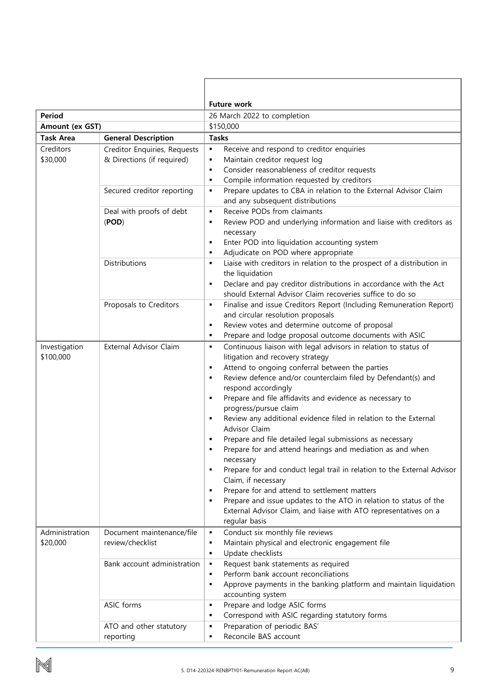|                                                |                              | <b>Future work</b>                                                                                                                    |  |  |  |  |
|------------------------------------------------|------------------------------|---------------------------------------------------------------------------------------------------------------------------------------|--|--|--|--|
| Period                                         |                              | 26 March 2022 to completion                                                                                                           |  |  |  |  |
| Amount (ex GST)                                |                              | \$150,000                                                                                                                             |  |  |  |  |
| <b>Task Area</b><br><b>General Description</b> |                              | <b>Tasks</b>                                                                                                                          |  |  |  |  |
| Creditors                                      | Creditor Enquiries, Requests | Receive and respond to creditor enquiries<br>$\blacksquare$                                                                           |  |  |  |  |
| \$30,000                                       | & Directions (if required)   | Maintain creditor request log<br>$\blacksquare$                                                                                       |  |  |  |  |
|                                                |                              | Consider reasonableness of creditor requests<br>٠                                                                                     |  |  |  |  |
|                                                |                              | Compile information requested by creditors<br>$\blacksquare$                                                                          |  |  |  |  |
|                                                | Secured creditor reporting   | Prepare updates to CBA in relation to the External Advisor Claim<br>٠                                                                 |  |  |  |  |
|                                                |                              | and any subsequent distributions                                                                                                      |  |  |  |  |
|                                                | Deal with proofs of debt     | Receive PODs from claimants<br>$\blacksquare$                                                                                         |  |  |  |  |
|                                                | (POD)                        | Review POD and underlying information and liaise with creditors as<br>$\blacksquare$                                                  |  |  |  |  |
|                                                |                              | necessary                                                                                                                             |  |  |  |  |
|                                                |                              | Enter POD into liquidation accounting system<br>٠                                                                                     |  |  |  |  |
|                                                |                              | Adjudicate on POD where appropriate<br>$\blacksquare$                                                                                 |  |  |  |  |
|                                                | Distributions                | Liaise with creditors in relation to the prospect of a distribution in<br>$\blacksquare$                                              |  |  |  |  |
|                                                |                              | the liquidation                                                                                                                       |  |  |  |  |
|                                                |                              | Declare and pay creditor distributions in accordance with the Act                                                                     |  |  |  |  |
|                                                | Proposals to Creditors       | should External Advisor Claim recoveries suffice to do so<br>Finalise and issue Creditors Report (Including Remuneration Report)<br>٠ |  |  |  |  |
|                                                |                              | and circular resolution proposals                                                                                                     |  |  |  |  |
|                                                |                              | Review votes and determine outcome of proposal<br>٠                                                                                   |  |  |  |  |
|                                                |                              | Prepare and lodge proposal outcome documents with ASIC<br>٠                                                                           |  |  |  |  |
| Investigation                                  | External Advisor Claim       | Continuous liaison with legal advisors in relation to status of<br>$\blacksquare$                                                     |  |  |  |  |
| \$100,000                                      |                              | litigation and recovery strategy                                                                                                      |  |  |  |  |
|                                                |                              | Attend to ongoing conferral between the parties                                                                                       |  |  |  |  |
|                                                |                              | Review defence and/or counterclaim filed by Defendant(s) and                                                                          |  |  |  |  |
|                                                |                              | respond accordingly                                                                                                                   |  |  |  |  |
|                                                |                              | Prepare and file affidavits and evidence as necessary to                                                                              |  |  |  |  |
|                                                |                              | progress/pursue claim                                                                                                                 |  |  |  |  |
|                                                |                              | Review any additional evidence filed in relation to the External                                                                      |  |  |  |  |
|                                                |                              | <b>Advisor Claim</b>                                                                                                                  |  |  |  |  |
|                                                |                              | Prepare and file detailed legal submissions as necessary                                                                              |  |  |  |  |
|                                                |                              | Prepare for and attend hearings and mediation as and when                                                                             |  |  |  |  |
|                                                |                              | necessary<br>$\blacksquare$                                                                                                           |  |  |  |  |
|                                                |                              | Prepare for and conduct legal trail in relation to the External Advisor<br>Claim, if necessary                                        |  |  |  |  |
|                                                |                              | Prepare for and attend to settlement matters<br>٠                                                                                     |  |  |  |  |
|                                                |                              | Prepare and issue updates to the ATO in relation to status of the<br>٠                                                                |  |  |  |  |
|                                                |                              | External Advisor Claim, and liaise with ATO representatives on a                                                                      |  |  |  |  |
|                                                |                              | regular basis                                                                                                                         |  |  |  |  |
| Administration                                 | Document maintenance/file    | Conduct six monthly file reviews<br>٠                                                                                                 |  |  |  |  |
| \$20,000                                       | review/checklist             | Maintain physical and electronic engagement file<br>٠                                                                                 |  |  |  |  |
|                                                |                              | Update checklists<br>٠                                                                                                                |  |  |  |  |
|                                                | Bank account administration  | Request bank statements as required<br>٠                                                                                              |  |  |  |  |
|                                                |                              | Perform bank account reconciliations<br>$\blacksquare$                                                                                |  |  |  |  |
|                                                |                              | Approve payments in the banking platform and maintain liquidation<br>٠                                                                |  |  |  |  |
|                                                |                              | accounting system                                                                                                                     |  |  |  |  |
|                                                | ASIC forms                   | Prepare and lodge ASIC forms<br>٠                                                                                                     |  |  |  |  |
|                                                |                              | Correspond with ASIC regarding statutory forms                                                                                        |  |  |  |  |
|                                                | ATO and other statutory      | Preparation of periodic BAS'<br>٠                                                                                                     |  |  |  |  |
|                                                | reporting                    | Reconcile BAS account<br>٠                                                                                                            |  |  |  |  |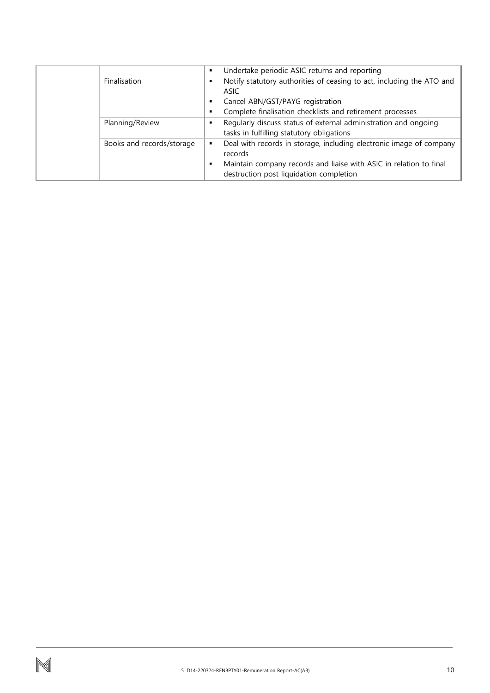|  |                           | п | Undertake periodic ASIC returns and reporting                         |
|--|---------------------------|---|-----------------------------------------------------------------------|
|  | Finalisation              |   | Notify statutory authorities of ceasing to act, including the ATO and |
|  |                           |   | ASIC                                                                  |
|  |                           |   | Cancel ABN/GST/PAYG registration                                      |
|  |                           |   | Complete finalisation checklists and retirement processes             |
|  | Planning/Review           |   | Regularly discuss status of external administration and ongoing       |
|  |                           |   | tasks in fulfilling statutory obligations                             |
|  | Books and records/storage |   | Deal with records in storage, including electronic image of company   |
|  |                           |   | records                                                               |
|  |                           |   | Maintain company records and liaise with ASIC in relation to final    |
|  |                           |   | destruction post liquidation completion                               |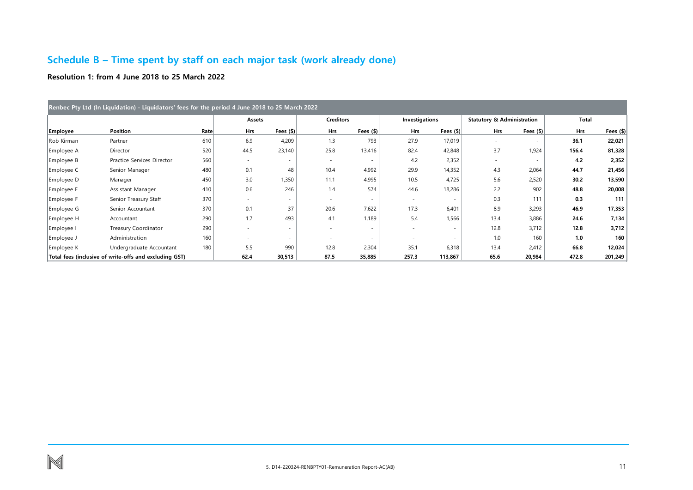# **Schedule B – Time spent by staff on each major task (work already done)**

**Resolution 1: from 4 June 2018 to 25 March 2022**

<span id="page-11-0"></span>

| Renbec Pty Ltd (In Liquidation) - Liquidators' fees for the period 4 June 2018 to 25 March 2022 |                                                        |      |        |                  |                  |                  |                |                  |                                       |                          |       |           |
|-------------------------------------------------------------------------------------------------|--------------------------------------------------------|------|--------|------------------|------------------|------------------|----------------|------------------|---------------------------------------|--------------------------|-------|-----------|
|                                                                                                 |                                                        |      | Assets |                  | <b>Creditors</b> |                  | Investigations |                  | <b>Statutory &amp; Administration</b> |                          | Total |           |
| <b>Employee</b>                                                                                 | Position                                               | Rate | Hrs    | Fees $($ \$) $ $ | Hrs              | Fees $($ \$) $ $ | <b>Hrs</b>     | Fees $($ \$) $ $ | <b>Hrs</b>                            | Fees $($ \$) $ $         | Hrs   | Fees (\$) |
| Rob Kirman                                                                                      | Partner                                                | 610  | 6.9    | 4,209            | 1.3              | 793              | 27.9           | 17,019           |                                       |                          | 36.1  | 22,021    |
| Employee A                                                                                      | Director                                               | 520  | 44.5   | 23,140           | 25.8             | 13,416           | 82.4           | 42,848           | 3.7                                   | 1,924                    | 156.4 | 81,328    |
| Employee B                                                                                      | Practice Services Director                             | 560  |        |                  | $\sim$           |                  | 4.2            | 2,352            |                                       | $\overline{\phantom{a}}$ | 4.2   | 2,352     |
| Employee C                                                                                      | Senior Manager                                         | 480  | 0.1    | 48               | 10.4             | 4,992            | 29.9           | 14,352           | 4.3                                   | 2,064                    | 44.7  | 21,456    |
| Employee D                                                                                      | Manager                                                | 450  | 3.0    | 1,350            | 11.1             | 4,995            | 10.5           | 4,725            | 5.6                                   | 2,520                    | 30.2  | 13,590    |
| Employee E                                                                                      | Assistant Manager                                      | 410  | 0.6    | 246              | 1.4              | 574              | 44.6           | 18,286           | 2.2                                   | 902                      | 48.8  | 20,008    |
| Employee F                                                                                      | Senior Treasury Staff                                  | 370  |        |                  |                  |                  |                | ۰                | 0.3                                   | 111                      | 0.3   | 111       |
| Employee G                                                                                      | Senior Accountant                                      | 370  | 0.1    | 37               | 20.6             | 7,622            | 17.3           | 6,401            | 8.9                                   | 3,293                    | 46.9  | 17,353    |
| Employee H                                                                                      | Accountant                                             | 290  | 1.7    | 493              | 4.1              | 1,189            | 5.4            | 1,566            | 13.4                                  | 3,886                    | 24.6  | 7,134     |
| Employee I                                                                                      | Treasury Coordinator                                   | 290  |        |                  |                  |                  |                | ٠                | 12.8                                  | 3,712                    | 12.8  | 3,712     |
| Employee J                                                                                      | Administration                                         | 160  |        |                  |                  |                  |                | ۰                | 1.0                                   | 160                      | 1.0   | 160       |
| Employee K                                                                                      | Undergraduate Accountant                               | 180  | 5.5    | 990              | 12.8             | 2,304            | 35.1           | 6,318            | 13.4                                  | 2,412                    | 66.8  | 12,024    |
|                                                                                                 | Total fees (inclusive of write-offs and excluding GST) |      | 62.4   | 30,513           | 87.5             | 35,885           | 257.3          | 113,867          | 65.6                                  | 20,984                   | 472.8 | 201,249   |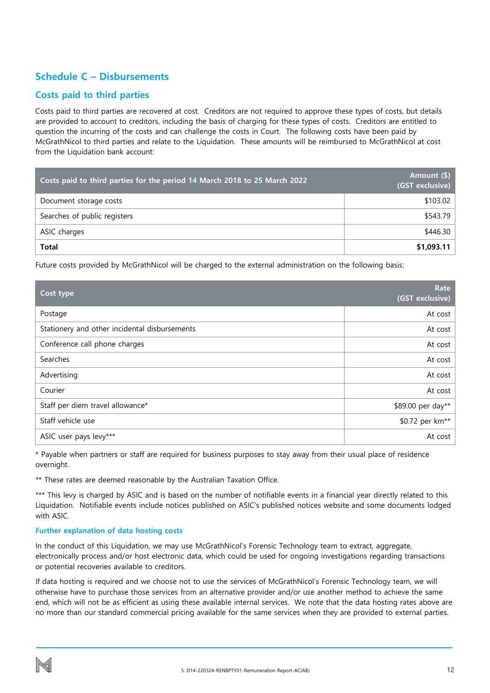## <span id="page-12-0"></span>**Schedule C – Disbursements**

### **Costs paid to third parties**

Costs paid to third parties are recovered at cost. Creditors are not required to approve these types of costs, but details are provided to account to creditors, including the basis of charging for these types of costs. Creditors are entitled to question the incurring of the costs and can challenge the costs in Court.The following costs have been paid by McGrathNicol to third parties and relate to the Liquidation. These amounts will be reimbursed to McGrathNicol at cost from the Liquidation bank account:

| Costs paid to third parties for the period 14 March 2018 to 25 March 2022 | Amount (\$)<br>(GST exclusive) |
|---------------------------------------------------------------------------|--------------------------------|
| Document storage costs                                                    | \$103.02                       |
| Searches of public registers                                              | \$543.79                       |
| ASIC charges                                                              | \$446.30                       |
| <b>Total</b>                                                              | \$1,093.11                     |

Future costs provided by McGrathNicol will be charged to the external administration on the following basis:

| Cost type                                     | Rate<br>(GST exclusive)     |
|-----------------------------------------------|-----------------------------|
| Postage                                       | At cost                     |
| Stationery and other incidental disbursements | At cost                     |
| Conference call phone charges                 | At cost                     |
| Searches                                      | At cost                     |
| Advertising                                   | At cost                     |
| Courier                                       | At cost                     |
| Staff per diem travel allowance*              | \$89.00 per day**           |
| Staff vehicle use                             | \$0.72 per km <sup>**</sup> |
| ASIC user pays levy***                        | At cost                     |

\* Payable when partners or staff are required for business purposes to stay away from their usual place of residence overnight.

\*\* These rates are deemed reasonable by the Australian Taxation Office.

\*\*\* This levy is charged by ASIC and is based on the number of notifiable events in a financial year directly related to this Liquidation. Notifiable events include notices published on ASIC's published notices website and some documents lodged with ASIC.

### **Further explanation of data hosting costs**

In the conduct of this Liquidation, we may use McGrathNicol's Forensic Technology team to extract, aggregate, electronically process and/or host electronic data, which could be used for ongoing investigations regarding transactions or potential recoveries available to creditors.

If data hosting is required and we choose not to use the services of McGrathNicol's Forensic Technology team, we will otherwise have to purchase those services from an alternative provider and/or use another method to achieve the same end, which will not be as efficient as using these available internal services. We note that the data hosting rates above are no more than our standard commercial pricing available for the same services when they are provided to external parties.